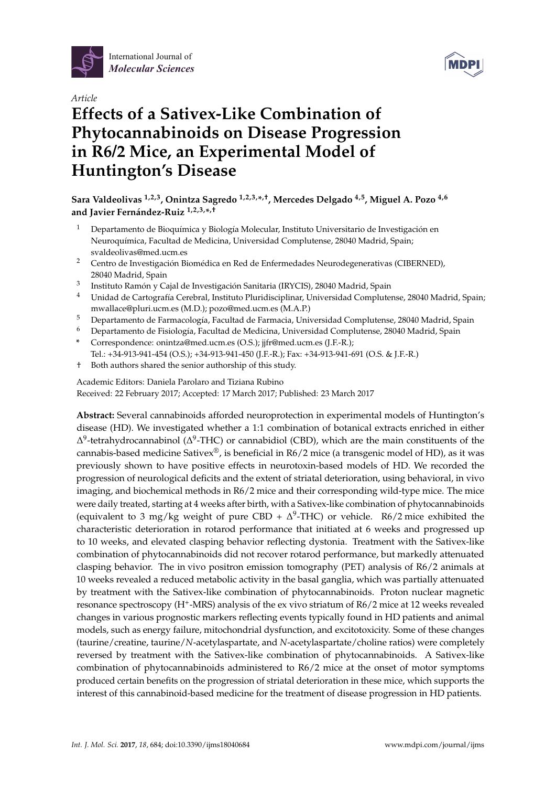



# *Article* **Effects of a Sativex-Like Combination of Phytocannabinoids on Disease Progression in R6/2 Mice, an Experimental Model of Huntington's Disease**

# **Sara Valdeolivas 1,2,3, Onintza Sagredo 1,2,3,\* ,†, Mercedes Delgado 4,5, Miguel A. Pozo 4,6 and Javier Fernández-Ruiz 1,2,3,\* ,†**

- $1$  Departamento de Bioquímica y Biología Molecular, Instituto Universitario de Investigación en Neuroquímica, Facultad de Medicina, Universidad Complutense, 28040 Madrid, Spain; svaldeolivas@med.ucm.es
- <sup>2</sup> Centro de Investigación Biomédica en Red de Enfermedades Neurodegenerativas (CIBERNED), 28040 Madrid, Spain
- 3 Instituto Ramón y Cajal de Investigación Sanitaria (IRYCIS), 28040 Madrid, Spain
- <sup>4</sup> Unidad de Cartografía Cerebral, Instituto Pluridisciplinar, Universidad Complutense, 28040 Madrid, Spain; mwallace@pluri.ucm.es (M.D.); pozo@med.ucm.es (M.A.P.)
- <sup>5</sup> Departamento de Farmacología, Facultad de Farmacia, Universidad Complutense, 28040 Madrid, Spain
- <sup>6</sup> Departamento de Fisiología, Facultad de Medicina, Universidad Complutense, 28040 Madrid, Spain
- **\*** Correspondence: onintza@med.ucm.es (O.S.); jjfr@med.ucm.es (J.F.-R.); Tel.: +34-913-941-454 (O.S.); +34-913-941-450 (J.F.-R.); Fax: +34-913-941-691 (O.S. & J.F.-R.)
- † Both authors shared the senior authorship of this study.

Academic Editors: Daniela Parolaro and Tiziana Rubino Received: 22 February 2017; Accepted: 17 March 2017; Published: 23 March 2017

**Abstract:** Several cannabinoids afforded neuroprotection in experimental models of Huntington's disease (HD). We investigated whether a 1:1 combination of botanical extracts enriched in either  $\Delta^9$ -tetrahydrocannabinol ( $\Delta^9$ -THC) or cannabidiol (CBD), which are the main constituents of the cannabis-based medicine Sativex<sup>®</sup>, is beneficial in R6/2 mice (a transgenic model of HD), as it was previously shown to have positive effects in neurotoxin-based models of HD. We recorded the progression of neurological deficits and the extent of striatal deterioration, using behavioral, in vivo imaging, and biochemical methods in R6/2 mice and their corresponding wild-type mice. The mice were daily treated, starting at 4 weeks after birth, with a Sativex-like combination of phytocannabinoids (equivalent to 3 mg/kg weight of pure CBD +  $\Delta^9$ -THC) or vehicle. R6/2 mice exhibited the characteristic deterioration in rotarod performance that initiated at 6 weeks and progressed up to 10 weeks, and elevated clasping behavior reflecting dystonia. Treatment with the Sativex-like combination of phytocannabinoids did not recover rotarod performance, but markedly attenuated clasping behavior. The in vivo positron emission tomography (PET) analysis of R6/2 animals at 10 weeks revealed a reduced metabolic activity in the basal ganglia, which was partially attenuated by treatment with the Sativex-like combination of phytocannabinoids. Proton nuclear magnetic resonance spectroscopy (H<sup>+</sup>-MRS) analysis of the ex vivo striatum of R6/2 mice at 12 weeks revealed changes in various prognostic markers reflecting events typically found in HD patients and animal models, such as energy failure, mitochondrial dysfunction, and excitotoxicity. Some of these changes (taurine/creatine, taurine/*N*-acetylaspartate, and *N*-acetylaspartate/choline ratios) were completely reversed by treatment with the Sativex-like combination of phytocannabinoids. A Sativex-like combination of phytocannabinoids administered to R6/2 mice at the onset of motor symptoms produced certain benefits on the progression of striatal deterioration in these mice, which supports the interest of this cannabinoid-based medicine for the treatment of disease progression in HD patients.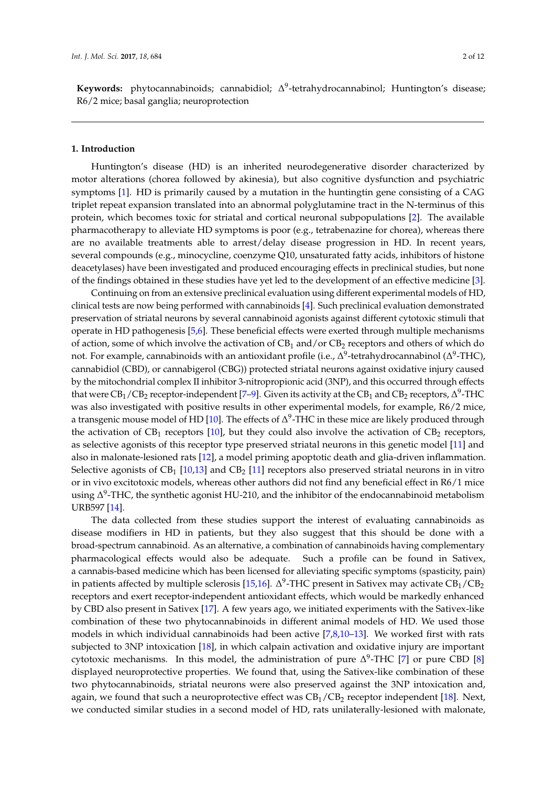Keywords: phytocannabinoids; cannabidiol; ∆<sup>9</sup>-tetrahydrocannabinol; Huntington's disease; R6/2 mice; basal ganglia; neuroprotection

#### **1. Introduction**

Huntington's disease (HD) is an inherited neurodegenerative disorder characterized by motor alterations (chorea followed by akinesia), but also cognitive dysfunction and psychiatric symptoms [\[1\]](#page-9-0). HD is primarily caused by a mutation in the huntingtin gene consisting of a CAG triplet repeat expansion translated into an abnormal polyglutamine tract in the N-terminus of this protein, which becomes toxic for striatal and cortical neuronal subpopulations [\[2\]](#page-9-1). The available pharmacotherapy to alleviate HD symptoms is poor (e.g., tetrabenazine for chorea), whereas there are no available treatments able to arrest/delay disease progression in HD. In recent years, several compounds (e.g., minocycline, coenzyme Q10, unsaturated fatty acids, inhibitors of histone deacetylases) have been investigated and produced encouraging effects in preclinical studies, but none of the findings obtained in these studies have yet led to the development of an effective medicine [\[3\]](#page-9-2).

Continuing on from an extensive preclinical evaluation using different experimental models of HD, clinical tests are now being performed with cannabinoids [\[4\]](#page-9-3). Such preclinical evaluation demonstrated preservation of striatal neurons by several cannabinoid agonists against different cytotoxic stimuli that operate in HD pathogenesis [\[5](#page-9-4)[,6\]](#page-10-0). These beneficial effects were exerted through multiple mechanisms of action, some of which involve the activation of  $CB_1$  and/or  $CB_2$  receptors and others of which do not. For example, cannabinoids with an antioxidant profile (i.e.,  $\Delta^9$ -tetrahydrocannabinol ( $\Delta^9$ -THC), cannabidiol (CBD), or cannabigerol (CBG)) protected striatal neurons against oxidative injury caused by the mitochondrial complex II inhibitor 3-nitropropionic acid (3NP), and this occurred through effects that were CB<sub>1</sub>/CB<sub>2</sub> receptor-independent [\[7](#page-10-1)[–9\]](#page-10-2). Given its activity at the CB<sub>1</sub> and CB<sub>2</sub> receptors, ∆<sup>9</sup>-THC was also investigated with positive results in other experimental models, for example, R6/2 mice, a transgenic mouse model of HD [\[10\]](#page-10-3). The effects of  $\Delta^9$ -THC in these mice are likely produced through the activation of  $CB_1$  receptors [\[10\]](#page-10-3), but they could also involve the activation of  $CB_2$  receptors, as selective agonists of this receptor type preserved striatal neurons in this genetic model [\[11\]](#page-10-4) and also in malonate-lesioned rats [\[12\]](#page-10-5), a model priming apoptotic death and glia-driven inflammation. Selective agonists of CB<sub>1</sub> [\[10,](#page-10-3)[13\]](#page-10-6) and CB<sub>2</sub> [\[11\]](#page-10-4) receptors also preserved striatal neurons in in vitro or in vivo excitotoxic models, whereas other authors did not find any beneficial effect in R6/1 mice using  $\Delta^9$ -THC, the synthetic agonist HU-210, and the inhibitor of the endocannabinoid metabolism URB597 [\[14\]](#page-10-7).

The data collected from these studies support the interest of evaluating cannabinoids as disease modifiers in HD in patients, but they also suggest that this should be done with a broad-spectrum cannabinoid. As an alternative, a combination of cannabinoids having complementary pharmacological effects would also be adequate. Such a profile can be found in Sativex, a cannabis-based medicine which has been licensed for alleviating specific symptoms (spasticity, pain) in patients affected by multiple sclerosis [\[15](#page-10-8)[,16\]](#page-10-9).  $\Delta^9$ -THC present in Sativex may activate CB<sub>1</sub>/CB<sub>2</sub> receptors and exert receptor-independent antioxidant effects, which would be markedly enhanced by CBD also present in Sativex [\[17\]](#page-10-10). A few years ago, we initiated experiments with the Sativex-like combination of these two phytocannabinoids in different animal models of HD. We used those models in which individual cannabinoids had been active [\[7,](#page-10-1)[8,](#page-10-11)[10](#page-10-3)[–13\]](#page-10-6). We worked first with rats subjected to 3NP intoxication [\[18\]](#page-10-12), in which calpain activation and oxidative injury are important cytotoxic mechanisms. In this model, the administration of pure  $\Delta^9$ -THC [\[7\]](#page-10-1) or pure CBD [\[8\]](#page-10-11) displayed neuroprotective properties. We found that, using the Sativex-like combination of these two phytocannabinoids, striatal neurons were also preserved against the 3NP intoxication and, again, we found that such a neuroprotective effect was  $CB_1/CB_2$  receptor independent [\[18\]](#page-10-12). Next, we conducted similar studies in a second model of HD, rats unilaterally-lesioned with malonate,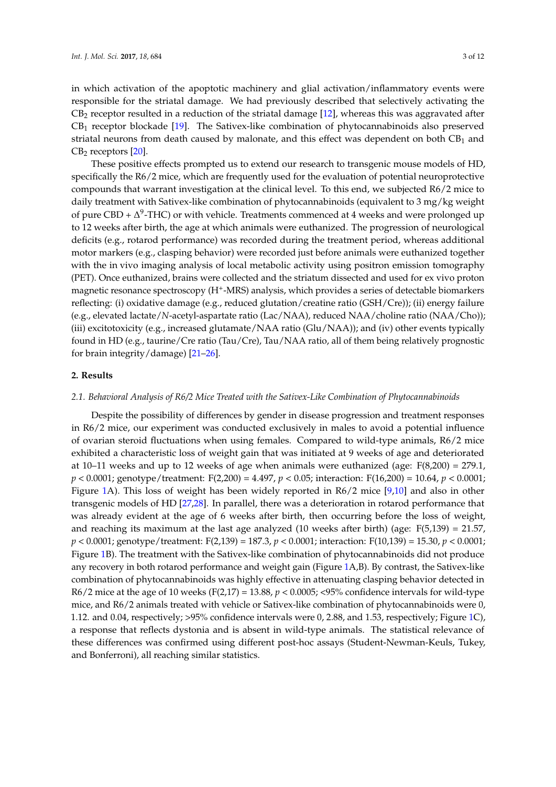in which activation of the apoptotic machinery and glial activation/inflammatory events were responsible for the striatal damage. We had previously described that selectively activating the  $CB_2$  receptor resulted in a reduction of the striatal damage [\[12\]](#page-10-5), whereas this was aggravated after  $CB<sub>1</sub>$  receptor blockade [\[19\]](#page-10-13). The Sativex-like combination of phytocannabinoids also preserved striatal neurons from death caused by malonate, and this effect was dependent on both  $CB<sub>1</sub>$  and  $CB<sub>2</sub>$  receptors  $[20]$ .

These positive effects prompted us to extend our research to transgenic mouse models of HD, specifically the R6/2 mice, which are frequently used for the evaluation of potential neuroprotective compounds that warrant investigation at the clinical level. To this end, we subjected R6/2 mice to daily treatment with Sativex-like combination of phytocannabinoids (equivalent to 3 mg/kg weight of pure CBD +  $\Delta^9$ -THC) or with vehicle. Treatments commenced at 4 weeks and were prolonged up to 12 weeks after birth, the age at which animals were euthanized. The progression of neurological deficits (e.g., rotarod performance) was recorded during the treatment period, whereas additional motor markers (e.g., clasping behavior) were recorded just before animals were euthanized together with the in vivo imaging analysis of local metabolic activity using positron emission tomography (PET). Once euthanized, brains were collected and the striatum dissected and used for ex vivo proton magnetic resonance spectroscopy (H<sup>+</sup>-MRS) analysis, which provides a series of detectable biomarkers reflecting: (i) oxidative damage (e.g., reduced glutation/creatine ratio (GSH/Cre)); (ii) energy failure (e.g., elevated lactate/*N*-acetyl-aspartate ratio (Lac/NAA), reduced NAA/choline ratio (NAA/Cho)); (iii) excitotoxicity (e.g., increased glutamate/NAA ratio (Glu/NAA)); and (iv) other events typically found in HD (e.g., taurine/Cre ratio (Tau/Cre), Tau/NAA ratio, all of them being relatively prognostic for brain integrity/damage) [\[21](#page-10-15)[–26\]](#page-11-0).

#### **2. Results**

#### *2.1. Behavioral Analysis of R6/2 Mice Treated with the Sativex-Like Combination of Phytocannabinoids*

Despite the possibility of differences by gender in disease progression and treatment responses in R6/2 mice, our experiment was conducted exclusively in males to avoid a potential influence of ovarian steroid fluctuations when using females. Compared to wild-type animals, R6/2 mice exhibited a characteristic loss of weight gain that was initiated at 9 weeks of age and deteriorated at 10–11 weeks and up to 12 weeks of age when animals were euthanized (age:  $F(8,200) = 279.1$ , *p* < 0.0001; genotype/treatment: F(2,200) = 4.497, *p* < 0.05; interaction: F(16,200) = 10.64, *p* < 0.0001; Figure [1A](#page-3-0)). This loss of weight has been widely reported in R6/2 mice [\[9](#page-10-2)[,10\]](#page-10-3) and also in other transgenic models of HD [\[27,](#page-11-1)[28\]](#page-11-2). In parallel, there was a deterioration in rotarod performance that was already evident at the age of 6 weeks after birth, then occurring before the loss of weight, and reaching its maximum at the last age analyzed  $(10$  weeks after birth) (age:  $F(5,139) = 21.57$ , *p* < 0.0001; genotype/treatment: F(2,139) = 187.3, *p* < 0.0001; interaction: F(10,139) = 15.30, *p* < 0.0001; Figure [1B](#page-3-0)). The treatment with the Sativex-like combination of phytocannabinoids did not produce any recovery in both rotarod performance and weight gain (Figure [1A](#page-3-0),B). By contrast, the Sativex-like combination of phytocannabinoids was highly effective in attenuating clasping behavior detected in R6/2 mice at the age of 10 weeks ( $F(2,17) = 13.88$ ,  $p < 0.0005$ ; <95% confidence intervals for wild-type mice, and R6/2 animals treated with vehicle or Sativex-like combination of phytocannabinoids were 0, 1.12. and 0.04, respectively; >95% confidence intervals were 0, 2.88, and 1.53, respectively; Figure [1C](#page-3-0)), a response that reflects dystonia and is absent in wild-type animals. The statistical relevance of these differences was confirmed using different post-hoc assays (Student-Newman-Keuls, Tukey, and Bonferroni), all reaching similar statistics.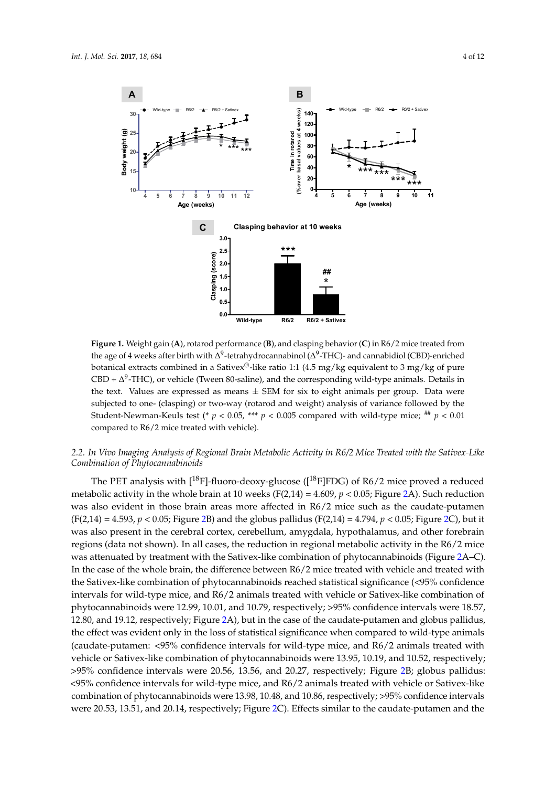<span id="page-3-0"></span>

Figure 1. Weight gain (A), rotarod performance (B), and clasping behavior (C) in R6/2 mice treated from the age of 4 weeks after birth with  $\Delta^9$ -tetrahydrocannabinol ( $\Delta^9$ -THC)- and cannabidiol (CBD)-enriched  $\epsilon$  is a sense of the sative ratio  $\epsilon$  of  $\epsilon$  in a Sativex ratio 1:1 (4.5 mg/kg equivalent to  $\epsilon$  mg/kg of  $\epsilon$  mg/kg of  $\epsilon$  mg/kg of  $\epsilon$  mg/kg of  $\epsilon$  mg/kg of  $\epsilon$  mg/kg of  $\epsilon$  mg/kg of  $\epsilon$  mg/kg of  $\epsilon$  mg/kg o botanical extracts combined in a Sativex<sup>®</sup>-like ratio 1:1 (4.5 mg/kg equivalent to 3 mg/kg of pure  $CBD + \Delta^9$ -THC), or vehicle (Tween 80-saline), and the corresponding wild-type animals. Details in the text. Values are expressed as means  $\pm$  SEM for six to eight animals per group. Data were subjected to one- (clasping) or two-way (rotarod and weight) analysis of variance followed by the Student-Newman-Keuls test (\*  $p < 0.05$ , \*\*\*  $p < 0.005$  compared with wild-type mice;  $^{***}$   $p < 0.01$ compared to R6/2 mice treated with vehicle).

# *Like Combination of Phytocannabinoids 2.2. In Vivo Imaging Analysis of Regional Brain Metabolic Activity in R6/2 Mice Treated with the Sativex-Like* The PET analysis with [18F]-fluoro-deoxy-glucose ([18F]FDG) of R6/2 mice proved a reduced *Combination of Phytocannabinoids*

The PET analysis with [<sup>18</sup>F]-fluoro-deoxy-glucose ([<sup>18</sup>F]FDG) of R6/2 mice proved a reduced was also evident in the cause of  $\frac{1}{2}$  mice such as the caudate-putate-putament and caudate-putament (F(2,14),  $\frac{1}{2}$  mice such as the caudate-putament and caudate-putament and caudate-putament and caudate-putament metabolic activity in the whole brain at 10 weeks (F(2,14) =  $4.609$ ,  $p < 0.05$ ; Figure [2A](#page-4-0)). Such reduction was also evident in those brain areas more affected in R6/2 mice such as the caudate-putamen (F(2,14) = 4.593,  $p < 0.05$ ; Figure 2B) and the globus pallidus (F(2,14) = 4.794,  $p < 0.05$ ; Figure 2C), but it was also present in the cerebral cortex, cerebellum, amygdala, hypothalamus, and other forebrain regions (data not shown). In all cases, the reduction in regional metabolic activity in the R6/2 mice was attenuated by treatment with the Sativex-like combination of phytocannabinoids (Figure [2A](#page-4-0)–C). In the case of the whole brain, the difference between R6/2 mice treated with vehicle and treated with the Sativex-like combination of phytocannabinoids reached statistical significance (<95% confidence  $1.6 - 11.8 - 12.80$ ,  $1.80 - 12.80$ ,  $1.90 - 12.80$ ,  $1.90 - 12.80$ ,  $1.90 - 12.80$ ,  $1.90 - 12.80$ intervals for wild-type mice, and R6/2 animals treated with vehicle or Sativex-like combination of phytocannabinoids were 12.99, 10.01, and 10.79, respectively;  $>\!\!95\%$  confidence intervals were 18.57, 12.80, and 19.12, respectively; Figure [2A](#page-4-0)), but in the case of the caudate-putamen and globus pallidus, the effect was evident only in the loss of statistical significance when compared to wild-type animals (caudate-putamen: <95% confidence intervals for wild-type mice, and R6/2 animals treated with vehicle or Sativex-like combination of phytocannabinoids were 13.95, 10.19, and 10.52, respectively; >95% confidence intervals were 20.56, 13.56, and 20.27, respectively; Figure [2B](#page-4-0); globus pallidus: <95% confidence intervals for wild-type mice, and R6/2 animals treated with vehicle or Sativex-like combination of phytocannabinoids were 13.98, 10.48, and 10.86, respectively; >95% confidence intervals were 20.53, 13.51, and 20.14, respectively; Figure [2C](#page-4-0)). Effects similar to the caudate-putamen and the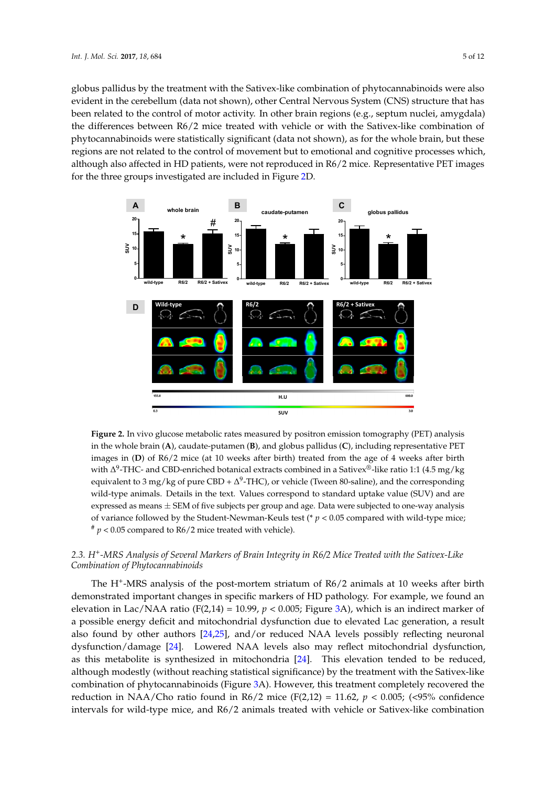globus pallidus by the treatment with the Sativex-like combination of phytocannabinoids were also evident in the cerebellum (data not shown), other Central Nervous System (CNS) structure that has *Int. J. Mol. Sci.* **2017**, *18*, 684 5 of 12 been related to the control of motor activity. In other brain regions (e.g., septum nuclei, amygdala) the differences between R6/2 mice treated with vehicle or with the Sativex-like combination of phytocannabinoids were statistically significant (data not shown), as for the whole brain, but these regions are not related to the control of movement but to emotional and cognitive processes which, although also affected in HD patients, were not reproduced in R6/2 mice. Representative PET images for the three groups investigated are included in Figure [2D](#page-4-0). Representative PET images for the three groups investigated are included in Figure 2D.

<span id="page-4-0"></span>

**Figure 2.** In vivo glucose metabolic rates measured by positron emission tomography (PET) analysis **Figure 2.** In vivo glucose metabolic rates measured by positron emission tomography (PET) analysis in the whole brain (A), caudate-putamen (B), and globus pallidus (C), including representative PET  $\sum_{i=1}^n$  of  $\sum_{i=1}^n$  of  $\sum_{i=1}^n$  microscopic and  $\sum_{i=1}^n$  with  $\sum_{i=1}^n$  with  $\sum_{i=1}^n$  with  $\sum_{i=1}^n$  with  $\sum_{i=1}^n$  with  $\sum_{i=1}^n$  with  $\sum_{i=1}^n$  with  $\sum_{i=1}^n$  with  $\sum_{i=1}^n$  with  $\sum_{i=1}^n$ images in (**D**) of R6/2 mice (at 10 weeks after birth) treated from the age of 4 weeks after birth with ∆<sup>9</sup>-THC- and CBD-enriched botanical extracts combined in a Sativex®-like ratio 1:1 (4.5 mg/kg equivalent to 3 mg/kg of pure CBD +  $\Delta^9$ -THC), or vehicle (Tween 80-saline), and the corresponding wild-type animals. Details in the text. Values correspond to standard uptake value (SUV) and are expressed as means  $\pm$  SEM of five subjects per group and age. Data were subjected to one-way analysis of variance followed by the Student-Newman-Keuls test (\*  $p < 0.05$  compared with wild-type mice;  $2^*$   $p < 0.05$  compared to R6/2 mice treated with vehicle).

# 2.3. H<sup>+</sup>-MRS Analysis of Several Markers of Brain Integrity in R6/2 Mice Treated with the Sativex-Like demonstrated important changes in specific markers of HD pathology. For example, we found an *Combination of Phytocannabinoids*

The H<sup>+</sup>-MRS analysis of the post-mortem striatum of R6/2 animals at 10 weeks after birth demonstrated important changes in specific markers of HD pathology. For example, we found an found by  $\frac{24}{24}$ , and  $\frac{24}{24}$ , and  $\frac{26}{24}$ , and  $\frac{26}{24}$ ,  $\frac{27}{24}$ ,  $\frac{26}{24}$ ,  $\frac{26}{24}$ ,  $\frac{26}{24}$ ,  $\frac{26}{24}$ ,  $\frac{26}{24}$ ,  $\frac{26}{24}$ ,  $\frac{26}{24}$ ,  $\frac{26}{24}$ ,  $\frac{26}{24}$ ,  $\frac{26}{24}$ ,  $\frac{2$ elevation in Lac/NAA ratio (F(2,14) = 10.99,  $p < 0.005$ ; Figure [3A](#page-5-0)), which is an indirect marker of a possible energy deficit and mitochondrial dysfunction due to elevated Lac generation, a result also found by other authors [\[24,](#page-11-3)[25\]](#page-11-4), and/or reduced NAA levels possibly reflecting neuronal dysfunction/damage [\[24\]](#page-11-3). Lowered NAA levels also may reflect mitochondrial dysfunction, as this metabolite is synthesized in mitochondria [\[24\]](#page-11-3). This elevation tended to be reduced, although modestly (without reaching statistical significance) by the treatment with the Sativex-like combination of phytocannabinoids (Figure [3A](#page-5-0)). However, this treatment completely recovered the reduction in NAA/Cho ratio found in R6/2 mice (F(2,12) = 11.62,  $p < 0.005$ ; (<95% confidence intervals for wild-type mice, and R6/2 animals treated with vehicle or Sativex-like combination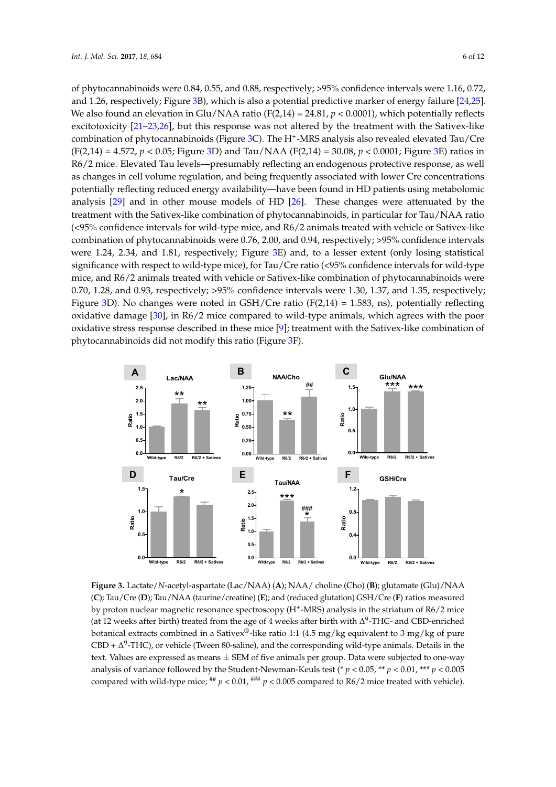of phytocannabinoids were 0.84, 0.55, and 0.88, respectively; >95% confidence intervals were 1.16, 0.72, and 1.26, respectively; Figure [3B](#page-5-0)), which is also a potential predictive marker of energy failure [\[24](#page-11-3)[,25\]](#page-11-4). We also found an elevation in Glu/NAA ratio (F(2,14) =  $24.81$ ,  $p < 0.0001$ ), which potentially reflects excitotoxicity [\[21](#page-10-15)[–23](#page-10-16)[,26\]](#page-11-0), but this response was not altered by the treatment with the Sativex-like combination of phytocannabinoids (Figure [3C](#page-5-0)). The H<sup>+</sup>-MRS analysis also revealed elevated Tau/Cre  $(F(2,14) = 4.572, p < 0.05;$  Figure [3D](#page-5-0)) and Tau/NAA  $(F(2,14) = 30.08, p < 0.0001;$  Figure [3E](#page-5-0)) ratios in R6/2 mice. Elevated Tau levels—presumably reflecting an endogenous protective response, as well as changes in cell volume regulation, and being frequently associated with lower Cre concentrations potentially reflecting reduced energy availability—have been found in HD patients using metabolomic analysis  $[29]$  and in other mouse models of HD  $[26]$ . These changes were attenuated by the treatment with the Sativex-like combination of phytocannabinoids, in particular for Tau/NAA ratio  $\ll$ 95% confidence intervals for wild-type mice, and R6/2 animals treated with vehicle or Sativex-like combination of phytocannabinoids were 0.76, 2.00, and 0.94, respectively; >95% confidence intervals were 1.24, 2.34, and 1.81, respectively; Figure [3E](#page-5-0)) and, to a lesser extent (only losing statistical significance with respect to wild-type mice), for Tau/Cre ratio (<95% confidence intervals for wild-type mice, and R6/2 animals treated with vehicle or Sativex-like combination of phytocannabinoids were nice, and no, 2 dimitate dealer with vender of early time come hadden or physocalitate here one of  $0.70$ , 1.28, and 0.93, respectively; >95% confidence intervals were 1.30, 1.37, and 1.35, respectively; Figure [3D](#page-5-0)). No changes were noted in GSH/Cre ratio  $(F(2,14) = 1.583, ns)$ , potentially reflecting oxidative damage [\[30\]](#page-11-6), in R6/2 mice compared to wild-type animals, which agrees with the poor oxidative stress response described in these mice [\[9\]](#page-10-2); treatment with the Sativex-like combination of phytocannabinoids did not modify this ratio (Figure [3F](#page-5-0)). and 1.26, respectively; Figure 3B), which is also a potential predictive marker of  $\frac{24}{24}$ . potential control the complete of phytocallitiesholds, in particular for fau, i.e.,  $\sigma$ , and  $\sigma$ ,  $\sigma$ , respectively,  $\sigma$ ,  $\sigma$  commence microals were 1.50, 1.57, and 1.55, respectively, like combination of phytocannabinoids did not modify this ratio (Figure 3F).

<span id="page-5-0"></span>

**Figure 3.** Lactate/*N*-acetyl-aspartate (Lac/NAA) (**A**); NAA/ choline (Cho) (**B**); glutamate (Glu)/NAA Figure 3. Lactate/N-acetyl-aspartate (Lac/NAA) (A); NAA/ choline (Cho) (B); glutamate (Glu)/NAA (C); Tau/Cre (D); Tau/NAA (taurine/creatine) (E); and (reduced glutation) GSH/Cre (F) ratios measured by proton nuclear magnetic resonance spectroscopy (H<sup>+</sup>-MRS) analysis in the striatum of R6/2 mice (at 12 weeks after birth) treated from the age of 4 weeks after birth with  $\Delta^9$ -THC- and CBD-enriched botanical extracts combined in a Sativex®-like ratio 1:1 (4.5 mg/kg equivalent to 3 mg/kg of pure CBD +  $\Delta^9$ -THC), or vehicle (Tween 80-saline), and the corresponding wild-type animals. Details in the one-way analysis of variance followed by the Student-Newman-Keuls test (\* *p* < 0.05, \*\* *p* < 0.01, \*\*\* *p* text. Values are expressed as means  $\pm$  SEM of five animals per group. Data were subjected to one-way analysis of variance followed by the Student-Newman-Keuls test (\* *p* < 0.05, \*\* *p* < 0.01, \*\*\* *p* < 0.005 compared with wild-type mice;  $^{+\#}$   $p < 0.01$ ,  $^{+\#}$   $p < 0.005$  compared to R6/2 mice treated with vehicle).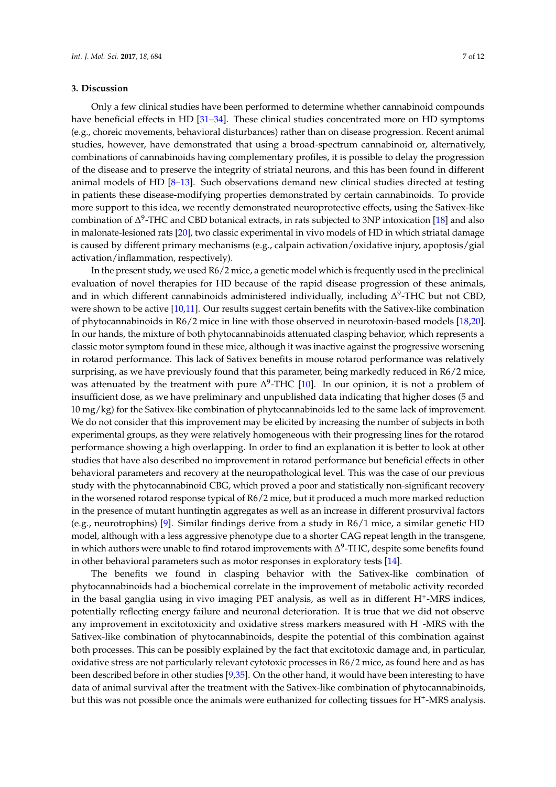#### **3. Discussion**

Only a few clinical studies have been performed to determine whether cannabinoid compounds have beneficial effects in HD [\[31](#page-11-7)[–34\]](#page-11-8). These clinical studies concentrated more on HD symptoms (e.g., choreic movements, behavioral disturbances) rather than on disease progression. Recent animal studies, however, have demonstrated that using a broad-spectrum cannabinoid or, alternatively, combinations of cannabinoids having complementary profiles, it is possible to delay the progression of the disease and to preserve the integrity of striatal neurons, and this has been found in different animal models of HD [\[8](#page-10-11)[–13\]](#page-10-6). Such observations demand new clinical studies directed at testing in patients these disease-modifying properties demonstrated by certain cannabinoids. To provide more support to this idea, we recently demonstrated neuroprotective effects, using the Sativex-like combination of  $\Delta^9$ -THC and CBD botanical extracts, in rats subjected to 3NP intoxication [\[18\]](#page-10-12) and also in malonate-lesioned rats [\[20\]](#page-10-14), two classic experimental in vivo models of HD in which striatal damage is caused by different primary mechanisms (e.g., calpain activation/oxidative injury, apoptosis/gial activation/inflammation, respectively).

In the present study, we used R6/2 mice, a genetic model which is frequently used in the preclinical evaluation of novel therapies for HD because of the rapid disease progression of these animals, and in which different cannabinoids administered individually, including  $\Delta^9$ -THC but not CBD, were shown to be active [\[10](#page-10-3)[,11\]](#page-10-4). Our results suggest certain benefits with the Sativex-like combination of phytocannabinoids in R6/2 mice in line with those observed in neurotoxin-based models [\[18,](#page-10-12)[20\]](#page-10-14). In our hands, the mixture of both phytocannabinoids attenuated clasping behavior, which represents a classic motor symptom found in these mice, although it was inactive against the progressive worsening in rotarod performance. This lack of Sativex benefits in mouse rotarod performance was relatively surprising, as we have previously found that this parameter, being markedly reduced in R6/2 mice, was attenuated by the treatment with pure  $\Delta^9$ -THC [\[10\]](#page-10-3). In our opinion, it is not a problem of insufficient dose, as we have preliminary and unpublished data indicating that higher doses (5 and 10 mg/kg) for the Sativex-like combination of phytocannabinoids led to the same lack of improvement. We do not consider that this improvement may be elicited by increasing the number of subjects in both experimental groups, as they were relatively homogeneous with their progressing lines for the rotarod performance showing a high overlapping. In order to find an explanation it is better to look at other studies that have also described no improvement in rotarod performance but beneficial effects in other behavioral parameters and recovery at the neuropathological level. This was the case of our previous study with the phytocannabinoid CBG, which proved a poor and statistically non-significant recovery in the worsened rotarod response typical of R6/2 mice, but it produced a much more marked reduction in the presence of mutant huntingtin aggregates as well as an increase in different prosurvival factors (e.g., neurotrophins) [\[9\]](#page-10-2). Similar findings derive from a study in R6/1 mice, a similar genetic HD model, although with a less aggressive phenotype due to a shorter CAG repeat length in the transgene, in which authors were unable to find rotarod improvements with  $\Delta^9\text{-}\text{THC}$ , despite some benefits found in other behavioral parameters such as motor responses in exploratory tests [\[14\]](#page-10-7).

The benefits we found in clasping behavior with the Sativex-like combination of phytocannabinoids had a biochemical correlate in the improvement of metabolic activity recorded in the basal ganglia using in vivo imaging PET analysis, as well as in different H<sup>+</sup>-MRS indices, potentially reflecting energy failure and neuronal deterioration. It is true that we did not observe any improvement in excitotoxicity and oxidative stress markers measured with H<sup>+</sup>-MRS with the Sativex-like combination of phytocannabinoids, despite the potential of this combination against both processes. This can be possibly explained by the fact that excitotoxic damage and, in particular, oxidative stress are not particularly relevant cytotoxic processes in R6/2 mice, as found here and as has been described before in other studies [\[9](#page-10-2)[,35\]](#page-11-9). On the other hand, it would have been interesting to have data of animal survival after the treatment with the Sativex-like combination of phytocannabinoids, but this was not possible once the animals were euthanized for collecting tissues for H<sup>+</sup>-MRS analysis.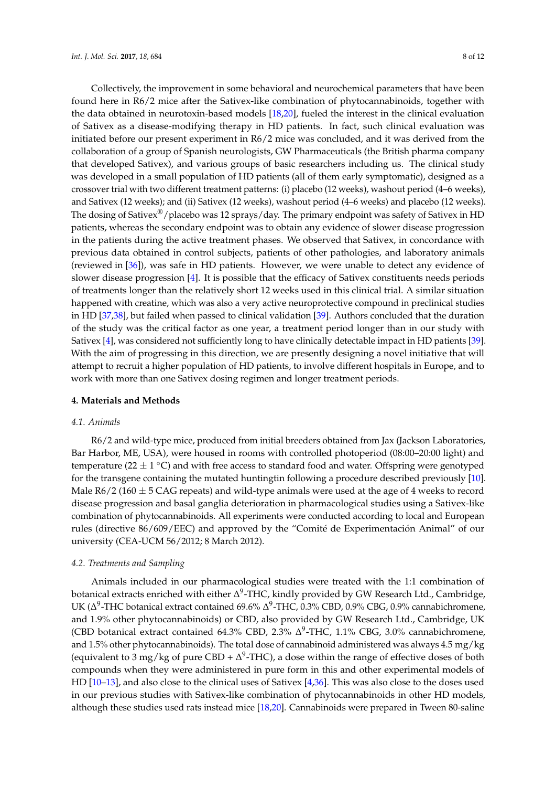Collectively, the improvement in some behavioral and neurochemical parameters that have been found here in R6/2 mice after the Sativex-like combination of phytocannabinoids, together with the data obtained in neurotoxin-based models [\[18](#page-10-12)[,20\]](#page-10-14), fueled the interest in the clinical evaluation of Sativex as a disease-modifying therapy in HD patients. In fact, such clinical evaluation was initiated before our present experiment in R6/2 mice was concluded, and it was derived from the collaboration of a group of Spanish neurologists, GW Pharmaceuticals (the British pharma company that developed Sativex), and various groups of basic researchers including us. The clinical study was developed in a small population of HD patients (all of them early symptomatic), designed as a crossover trial with two different treatment patterns: (i) placebo (12 weeks), washout period (4–6 weeks), and Sativex (12 weeks); and (ii) Sativex (12 weeks), washout period (4–6 weeks) and placebo (12 weeks). The dosing of Sativex<sup>®</sup>/placebo was 12 sprays/day. The primary endpoint was safety of Sativex in HD patients, whereas the secondary endpoint was to obtain any evidence of slower disease progression in the patients during the active treatment phases. We observed that Sativex, in concordance with previous data obtained in control subjects, patients of other pathologies, and laboratory animals (reviewed in [\[36\]](#page-11-10)), was safe in HD patients. However, we were unable to detect any evidence of slower disease progression [\[4\]](#page-9-3). It is possible that the efficacy of Sativex constituents needs periods of treatments longer than the relatively short 12 weeks used in this clinical trial. A similar situation happened with creatine, which was also a very active neuroprotective compound in preclinical studies in HD [\[37](#page-11-11)[,38\]](#page-11-12), but failed when passed to clinical validation [\[39\]](#page-11-13). Authors concluded that the duration of the study was the critical factor as one year, a treatment period longer than in our study with Sativex [\[4\]](#page-9-3), was considered not sufficiently long to have clinically detectable impact in HD patients [\[39\]](#page-11-13). With the aim of progressing in this direction, we are presently designing a novel initiative that will attempt to recruit a higher population of HD patients, to involve different hospitals in Europe, and to work with more than one Sativex dosing regimen and longer treatment periods.

#### **4. Materials and Methods**

#### *4.1. Animals*

R6/2 and wild-type mice, produced from initial breeders obtained from Jax (Jackson Laboratories, Bar Harbor, ME, USA), were housed in rooms with controlled photoperiod (08:00–20:00 light) and temperature (22  $\pm$  1 °C) and with free access to standard food and water. Offspring were genotyped for the transgene containing the mutated huntingtin following a procedure described previously [\[10\]](#page-10-3). Male  $R6/2$  (160  $\pm$  5 CAG repeats) and wild-type animals were used at the age of 4 weeks to record disease progression and basal ganglia deterioration in pharmacological studies using a Sativex-like combination of phytocannabinoids. All experiments were conducted according to local and European rules (directive 86/609/EEC) and approved by the "Comité de Experimentación Animal" of our university (CEA-UCM 56/2012; 8 March 2012).

#### *4.2. Treatments and Sampling*

Animals included in our pharmacological studies were treated with the 1:1 combination of botanical extracts enriched with either ∆ $^9$ -THC, kindly provided by GW Research Ltd., Cambridge, UK ( $\Delta^9$ -THC botanical extract contained 69.6%  $\Delta^9$ -THC, 0.3% CBD, 0.9% CBG, 0.9% cannabichromene, and 1.9% other phytocannabinoids) or CBD, also provided by GW Research Ltd., Cambridge, UK (CBD botanical extract contained 64.3% CBD, 2.3%  $\Delta^9$ -THC, 1.1% CBG, 3.0% cannabichromene, and 1.5% other phytocannabinoids). The total dose of cannabinoid administered was always 4.5 mg/kg (equivalent to 3 mg/kg of pure CBD +  $\Delta^9$ -THC), a dose within the range of effective doses of both compounds when they were administered in pure form in this and other experimental models of HD [\[10–](#page-10-3)[13\]](#page-10-6), and also close to the clinical uses of Sativex [\[4,](#page-9-3)[36\]](#page-11-10). This was also close to the doses used in our previous studies with Sativex-like combination of phytocannabinoids in other HD models, although these studies used rats instead mice [\[18,](#page-10-12)[20\]](#page-10-14). Cannabinoids were prepared in Tween 80-saline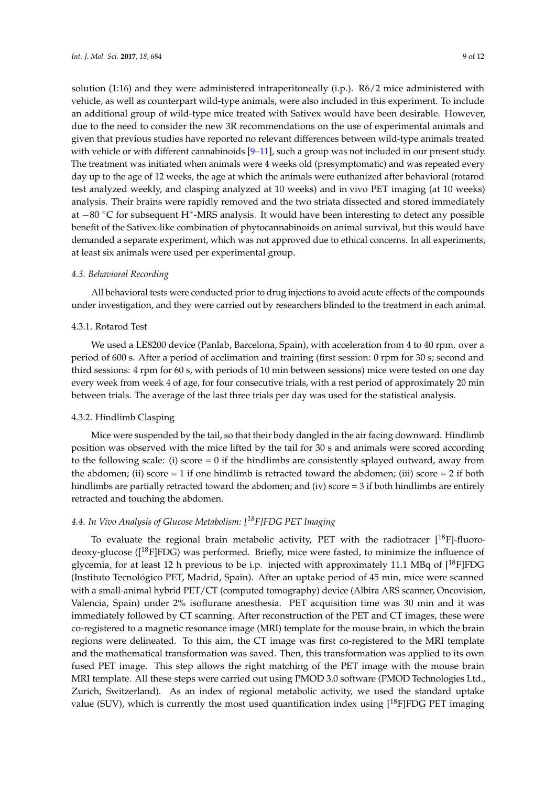solution (1:16) and they were administered intraperitoneally (i.p.). R6/2 mice administered with vehicle, as well as counterpart wild-type animals, were also included in this experiment. To include an additional group of wild-type mice treated with Sativex would have been desirable. However, due to the need to consider the new 3R recommendations on the use of experimental animals and given that previous studies have reported no relevant differences between wild-type animals treated with vehicle or with different cannabinoids  $[9-11]$  $[9-11]$ , such a group was not included in our present study. The treatment was initiated when animals were 4 weeks old (presymptomatic) and was repeated every day up to the age of 12 weeks, the age at which the animals were euthanized after behavioral (rotarod test analyzed weekly, and clasping analyzed at 10 weeks) and in vivo PET imaging (at 10 weeks) analysis. Their brains were rapidly removed and the two striata dissected and stored immediately at -80 °C for subsequent H<sup>+</sup>-MRS analysis. It would have been interesting to detect any possible benefit of the Sativex-like combination of phytocannabinoids on animal survival, but this would have demanded a separate experiment, which was not approved due to ethical concerns. In all experiments, at least six animals were used per experimental group.

### *4.3. Behavioral Recording*

All behavioral tests were conducted prior to drug injections to avoid acute effects of the compounds under investigation, and they were carried out by researchers blinded to the treatment in each animal.

#### 4.3.1. Rotarod Test

We used a LE8200 device (Panlab, Barcelona, Spain), with acceleration from 4 to 40 rpm. over a period of 600 s. After a period of acclimation and training (first session: 0 rpm for 30 s; second and third sessions: 4 rpm for 60 s, with periods of 10 min between sessions) mice were tested on one day every week from week 4 of age, for four consecutive trials, with a rest period of approximately 20 min between trials. The average of the last three trials per day was used for the statistical analysis.

### 4.3.2. Hindlimb Clasping

Mice were suspended by the tail, so that their body dangled in the air facing downward. Hindlimb position was observed with the mice lifted by the tail for 30 s and animals were scored according to the following scale: (i) score  $= 0$  if the hindlimbs are consistently splayed outward, away from the abdomen; (ii) score = 1 if one hindlimb is retracted toward the abdomen; (iii) score = 2 if both hindlimbs are partially retracted toward the abdomen; and (iv) score  $=$  3 if both hindlimbs are entirely retracted and touching the abdomen.

## *4.4. In Vivo Analysis of Glucose Metabolism: [18F]FDG PET Imaging*

To evaluate the regional brain metabolic activity, PET with the radiotracer  $[^{18}F]$ -fluorodeoxy-glucose ( $[^{18}F]FDG$ ) was performed. Briefly, mice were fasted, to minimize the influence of glycemia, for at least 12 h previous to be i.p. injected with approximately 11.1 MBq of  $[^{18}$ F]FDG (Instituto Tecnológico PET, Madrid, Spain). After an uptake period of 45 min, mice were scanned with a small-animal hybrid PET/CT (computed tomography) device (Albira ARS scanner, Oncovision, Valencia, Spain) under 2% isoflurane anesthesia. PET acquisition time was 30 min and it was immediately followed by CT scanning. After reconstruction of the PET and CT images, these were co-registered to a magnetic resonance image (MRI) template for the mouse brain, in which the brain regions were delineated. To this aim, the CT image was first co-registered to the MRI template and the mathematical transformation was saved. Then, this transformation was applied to its own fused PET image. This step allows the right matching of the PET image with the mouse brain MRI template. All these steps were carried out using PMOD 3.0 software (PMOD Technologies Ltd., Zurich, Switzerland). As an index of regional metabolic activity, we used the standard uptake value (SUV), which is currently the most used quantification index using  $[^{18}F]FDG$  PET imaging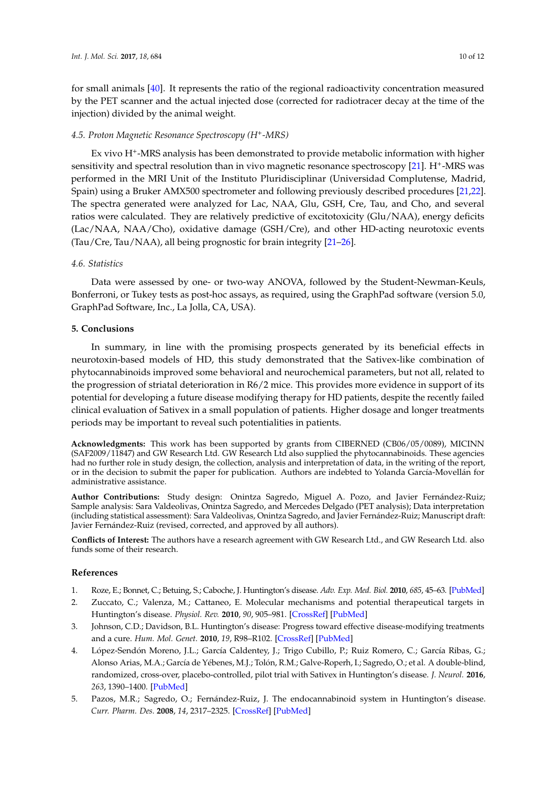for small animals [\[40\]](#page-11-14). It represents the ratio of the regional radioactivity concentration measured by the PET scanner and the actual injected dose (corrected for radiotracer decay at the time of the injection) divided by the animal weight.

### *4.5. Proton Magnetic Resonance Spectroscopy (H<sup>+</sup> -MRS)*

Ex vivo H<sup>+</sup>-MRS analysis has been demonstrated to provide metabolic information with higher sensitivity and spectral resolution than in vivo magnetic resonance spectroscopy [\[21\]](#page-10-15). H<sup>+</sup>-MRS was performed in the MRI Unit of the Instituto Pluridisciplinar (Universidad Complutense, Madrid, Spain) using a Bruker AMX500 spectrometer and following previously described procedures [\[21,](#page-10-15)[22\]](#page-10-17). The spectra generated were analyzed for Lac, NAA, Glu, GSH, Cre, Tau, and Cho, and several ratios were calculated. They are relatively predictive of excitotoxicity (Glu/NAA), energy deficits (Lac/NAA, NAA/Cho), oxidative damage (GSH/Cre), and other HD-acting neurotoxic events (Tau/Cre, Tau/NAA), all being prognostic for brain integrity [\[21–](#page-10-15)[26\]](#page-11-0).

#### *4.6. Statistics*

Data were assessed by one- or two-way ANOVA, followed by the Student-Newman-Keuls, Bonferroni, or Tukey tests as post-hoc assays, as required, using the GraphPad software (version 5.0, GraphPad Software, Inc., La Jolla, CA, USA).

#### **5. Conclusions**

In summary, in line with the promising prospects generated by its beneficial effects in neurotoxin-based models of HD, this study demonstrated that the Sativex-like combination of phytocannabinoids improved some behavioral and neurochemical parameters, but not all, related to the progression of striatal deterioration in R6/2 mice. This provides more evidence in support of its potential for developing a future disease modifying therapy for HD patients, despite the recently failed clinical evaluation of Sativex in a small population of patients. Higher dosage and longer treatments periods may be important to reveal such potentialities in patients.

**Acknowledgments:** This work has been supported by grants from CIBERNED (CB06/05/0089), MICINN (SAF2009/11847) and GW Research Ltd. GW Research Ltd also supplied the phytocannabinoids. These agencies had no further role in study design, the collection, analysis and interpretation of data, in the writing of the report, or in the decision to submit the paper for publication. Authors are indebted to Yolanda García-Movellán for administrative assistance.

**Author Contributions:** Study design: Onintza Sagredo, Miguel A. Pozo, and Javier Fernández-Ruiz; Sample analysis: Sara Valdeolivas, Onintza Sagredo, and Mercedes Delgado (PET analysis); Data interpretation (including statistical assessment): Sara Valdeolivas, Onintza Sagredo, and Javier Fernández-Ruiz; Manuscript draft: Javier Fernández-Ruiz (revised, corrected, and approved by all authors).

**Conflicts of Interest:** The authors have a research agreement with GW Research Ltd., and GW Research Ltd. also funds some of their research.

#### **References**

- <span id="page-9-0"></span>1. Roze, E.; Bonnet, C.; Betuing, S.; Caboche, J. Huntington's disease. *Adv. Exp. Med. Biol.* **2010**, *685*, 45–63. [\[PubMed\]](http://www.ncbi.nlm.nih.gov/pubmed/20687494)
- <span id="page-9-1"></span>2. Zuccato, C.; Valenza, M.; Cattaneo, E. Molecular mechanisms and potential therapeutical targets in Huntington's disease. *Physiol. Rev.* **2010**, *90*, 905–981. [\[CrossRef\]](http://dx.doi.org/10.1152/physrev.00041.2009) [\[PubMed\]](http://www.ncbi.nlm.nih.gov/pubmed/20664076)
- <span id="page-9-2"></span>3. Johnson, C.D.; Davidson, B.L. Huntington's disease: Progress toward effective disease-modifying treatments and a cure. *Hum. Mol. Genet.* **2010**, *19*, R98–R102. [\[CrossRef\]](http://dx.doi.org/10.1093/hmg/ddq148) [\[PubMed\]](http://www.ncbi.nlm.nih.gov/pubmed/20421366)
- <span id="page-9-3"></span>4. López-Sendón Moreno, J.L.; García Caldentey, J.; Trigo Cubillo, P.; Ruiz Romero, C.; García Ribas, G.; Alonso Arias, M.A.; García de Yébenes, M.J.; Tolón, R.M.; Galve-Roperh, I.; Sagredo, O.; et al. A double-blind, randomized, cross-over, placebo-controlled, pilot trial with Sativex in Huntington's disease. *J. Neurol.* **2016**, *263*, 1390–1400. [\[PubMed\]](http://www.ncbi.nlm.nih.gov/pubmed/27159993)
- <span id="page-9-4"></span>5. Pazos, M.R.; Sagredo, O.; Fernández-Ruiz, J. The endocannabinoid system in Huntington's disease. *Curr. Pharm. Des.* **2008**, *14*, 2317–2325. [\[CrossRef\]](http://dx.doi.org/10.2174/138161208785740108) [\[PubMed\]](http://www.ncbi.nlm.nih.gov/pubmed/18781982)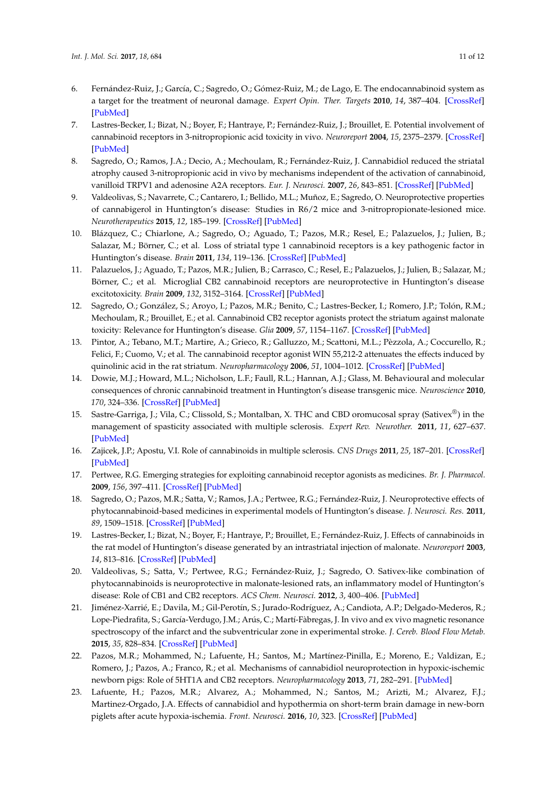- <span id="page-10-0"></span>6. Fernández-Ruiz, J.; García, C.; Sagredo, O.; Gómez-Ruiz, M.; de Lago, E. The endocannabinoid system as a target for the treatment of neuronal damage. *Expert Opin. Ther. Targets* **2010**, *14*, 387–404. [\[CrossRef\]](http://dx.doi.org/10.1517/14728221003709792) [\[PubMed\]](http://www.ncbi.nlm.nih.gov/pubmed/20230193)
- <span id="page-10-1"></span>7. Lastres-Becker, I.; Bizat, N.; Boyer, F.; Hantraye, P.; Fernández-Ruiz, J.; Brouillet, E. Potential involvement of cannabinoid receptors in 3-nitropropionic acid toxicity in vivo. *Neuroreport* **2004**, *15*, 2375–2379. [\[CrossRef\]](http://dx.doi.org/10.1097/00001756-200410250-00015) [\[PubMed\]](http://www.ncbi.nlm.nih.gov/pubmed/15640759)
- <span id="page-10-11"></span>8. Sagredo, O.; Ramos, J.A.; Decio, A.; Mechoulam, R.; Fernández-Ruiz, J. Cannabidiol reduced the striatal atrophy caused 3-nitropropionic acid in vivo by mechanisms independent of the activation of cannabinoid, vanilloid TRPV1 and adenosine A2A receptors. *Eur. J. Neurosci.* **2007**, *26*, 843–851. [\[CrossRef\]](http://dx.doi.org/10.1111/j.1460-9568.2007.05717.x) [\[PubMed\]](http://www.ncbi.nlm.nih.gov/pubmed/17672854)
- <span id="page-10-2"></span>9. Valdeolivas, S.; Navarrete, C.; Cantarero, I.; Bellido, M.L.; Muñoz, E.; Sagredo, O. Neuroprotective properties of cannabigerol in Huntington's disease: Studies in R6/2 mice and 3-nitropropionate-lesioned mice. *Neurotherapeutics* **2015**, *12*, 185–199. [\[CrossRef\]](http://dx.doi.org/10.1007/s13311-014-0304-z) [\[PubMed\]](http://www.ncbi.nlm.nih.gov/pubmed/25252936)
- <span id="page-10-3"></span>10. Blázquez, C.; Chiarlone, A.; Sagredo, O.; Aguado, T.; Pazos, M.R.; Resel, E.; Palazuelos, J.; Julien, B.; Salazar, M.; Börner, C.; et al. Loss of striatal type 1 cannabinoid receptors is a key pathogenic factor in Huntington's disease. *Brain* **2011**, *134*, 119–136. [\[CrossRef\]](http://dx.doi.org/10.1093/brain/awq278) [\[PubMed\]](http://www.ncbi.nlm.nih.gov/pubmed/20929960)
- <span id="page-10-4"></span>11. Palazuelos, J.; Aguado, T.; Pazos, M.R.; Julien, B.; Carrasco, C.; Resel, E.; Palazuelos, J.; Julien, B.; Salazar, M.; Börner, C.; et al. Microglial CB2 cannabinoid receptors are neuroprotective in Huntington's disease excitotoxicity. *Brain* **2009**, *132*, 3152–3164. [\[CrossRef\]](http://dx.doi.org/10.1093/brain/awp239) [\[PubMed\]](http://www.ncbi.nlm.nih.gov/pubmed/19805493)
- <span id="page-10-5"></span>12. Sagredo, O.; González, S.; Aroyo, I.; Pazos, M.R.; Benito, C.; Lastres-Becker, I.; Romero, J.P.; Tolón, R.M.; Mechoulam, R.; Brouillet, E.; et al. Cannabinoid CB2 receptor agonists protect the striatum against malonate toxicity: Relevance for Huntington's disease. *Glia* **2009**, *57*, 1154–1167. [\[CrossRef\]](http://dx.doi.org/10.1002/glia.20838) [\[PubMed\]](http://www.ncbi.nlm.nih.gov/pubmed/19115380)
- <span id="page-10-6"></span>13. Pintor, A.; Tebano, M.T.; Martire, A.; Grieco, R.; Galluzzo, M.; Scattoni, M.L.; Pèzzola, A.; Coccurello, R.; Felici, F.; Cuomo, V.; et al. The cannabinoid receptor agonist WIN 55,212-2 attenuates the effects induced by quinolinic acid in the rat striatum. *Neuropharmacology* **2006**, *51*, 1004–1012. [\[CrossRef\]](http://dx.doi.org/10.1016/j.neuropharm.2006.06.013) [\[PubMed\]](http://www.ncbi.nlm.nih.gov/pubmed/16895732)
- <span id="page-10-7"></span>14. Dowie, M.J.; Howard, M.L.; Nicholson, L.F.; Faull, R.L.; Hannan, A.J.; Glass, M. Behavioural and molecular consequences of chronic cannabinoid treatment in Huntington's disease transgenic mice. *Neuroscience* **2010**, *170*, 324–336. [\[CrossRef\]](http://dx.doi.org/10.1016/j.neuroscience.2010.06.056) [\[PubMed\]](http://www.ncbi.nlm.nih.gov/pubmed/20600638)
- <span id="page-10-8"></span>15. Sastre-Garriga, J.; Vila, C.; Clissold, S.; Montalban, X. THC and CBD oromucosal spray (Sativex®) in the management of spasticity associated with multiple sclerosis. *Expert Rev. Neurother.* **2011**, *11*, 627–637. [\[PubMed\]](http://www.ncbi.nlm.nih.gov/pubmed/21456949)
- <span id="page-10-9"></span>16. Zajicek, J.P.; Apostu, V.I. Role of cannabinoids in multiple sclerosis. *CNS Drugs* **2011**, *25*, 187–201. [\[CrossRef\]](http://dx.doi.org/10.2165/11539000-000000000-00000) [\[PubMed\]](http://www.ncbi.nlm.nih.gov/pubmed/21323391)
- <span id="page-10-10"></span>17. Pertwee, R.G. Emerging strategies for exploiting cannabinoid receptor agonists as medicines. *Br. J. Pharmacol.* **2009**, *156*, 397–411. [\[CrossRef\]](http://dx.doi.org/10.1111/j.1476-5381.2008.00048.x) [\[PubMed\]](http://www.ncbi.nlm.nih.gov/pubmed/19226257)
- <span id="page-10-12"></span>18. Sagredo, O.; Pazos, M.R.; Satta, V.; Ramos, J.A.; Pertwee, R.G.; Fernández-Ruiz, J. Neuroprotective effects of phytocannabinoid-based medicines in experimental models of Huntington's disease. *J. Neurosci. Res.* **2011**, *89*, 1509–1518. [\[CrossRef\]](http://dx.doi.org/10.1002/jnr.22682) [\[PubMed\]](http://www.ncbi.nlm.nih.gov/pubmed/21674569)
- <span id="page-10-13"></span>19. Lastres-Becker, I.; Bizat, N.; Boyer, F.; Hantraye, P.; Brouillet, E.; Fernández-Ruiz, J. Effects of cannabinoids in the rat model of Huntington's disease generated by an intrastriatal injection of malonate. *Neuroreport* **2003**, *14*, 813–816. [\[CrossRef\]](http://dx.doi.org/10.1097/00001756-200305060-00007) [\[PubMed\]](http://www.ncbi.nlm.nih.gov/pubmed/12858038)
- <span id="page-10-14"></span>20. Valdeolivas, S.; Satta, V.; Pertwee, R.G.; Fernández-Ruiz, J.; Sagredo, O. Sativex-like combination of phytocannabinoids is neuroprotective in malonate-lesioned rats, an inflammatory model of Huntington's disease: Role of CB1 and CB2 receptors. *ACS Chem. Neurosci.* **2012**, *3*, 400–406. [\[PubMed\]](http://www.ncbi.nlm.nih.gov/pubmed/22860209)
- <span id="page-10-15"></span>21. Jiménez-Xarrié, E.; Davila, M.; Gil-Perotín, S.; Jurado-Rodríguez, A.; Candiota, A.P.; Delgado-Mederos, R.; Lope-Piedrafita, S.; García-Verdugo, J.M.; Arús, C.; Martí-Fàbregas, J. In vivo and ex vivo magnetic resonance spectroscopy of the infarct and the subventricular zone in experimental stroke. *J. Cereb. Blood Flow Metab.* **2015**, *35*, 828–834. [\[CrossRef\]](http://dx.doi.org/10.1038/jcbfm.2014.257) [\[PubMed\]](http://www.ncbi.nlm.nih.gov/pubmed/25605287)
- <span id="page-10-17"></span>22. Pazos, M.R.; Mohammed, N.; Lafuente, H.; Santos, M.; Martínez-Pinilla, E.; Moreno, E.; Valdizan, E.; Romero, J.; Pazos, A.; Franco, R.; et al. Mechanisms of cannabidiol neuroprotection in hypoxic-ischemic newborn pigs: Role of 5HT1A and CB2 receptors. *Neuropharmacology* **2013**, *71*, 282–291. [\[PubMed\]](http://www.ncbi.nlm.nih.gov/pubmed/23587650)
- <span id="page-10-16"></span>23. Lafuente, H.; Pazos, M.R.; Alvarez, A.; Mohammed, N.; Santos, M.; Arizti, M.; Alvarez, F.J.; Martinez-Orgado, J.A. Effects of cannabidiol and hypothermia on short-term brain damage in new-born piglets after acute hypoxia-ischemia. *Front. Neurosci.* **2016**, *10*, 323. [\[CrossRef\]](http://dx.doi.org/10.3389/fnins.2016.00323) [\[PubMed\]](http://www.ncbi.nlm.nih.gov/pubmed/27462203)